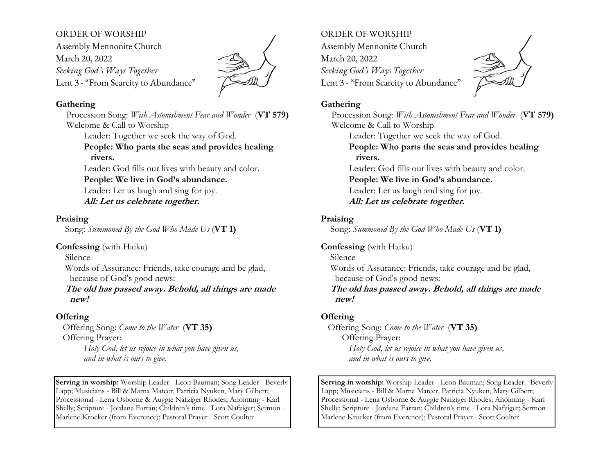## ORDER OF WORSHIP

Assembly Mennonite Church March 20, 2022 *Seeking God's Ways Together* Lent 3 - "From Scarcity to Abundance"



#### **Gathering**

Procession Song: *With Astonishment Fear and Wonder* (**VT 579)** Welcome & Call to Worship Leader: Together we seek the way of God. **People: Who parts the seas and provides healing rivers.**  Leader: God fills our lives with beauty and color. **People: We live in God's abundance.** Leader: Let us laugh and sing for joy. **All: Let us celebrate together.**

### **Praising**

Song: *Summoned By the God Who Made Us* (**VT 1)**

**Confessing** (with Haiku)

Silence

 Words of Assurance: Friends, take courage and be glad, because of God's good news:

 **The old has passed away. Behold, all things are made new!**

# **Offering**

 Offering Song: *Come to the Water* (**VT 35)** Offering Prayer: *Holy God, let us rejoice in what you have given us, and in what is ours to give.*

**Serving in worship:** Worship Leader - Leon Bauman; Song Leader - Beverly Lapp; Musicians - Bill & Marna Mateer, Patricia Nyuken, Mary Gilbert; Processional - Lena Osborne & Auggie Nafziger Rhodes; Anointing - Karl Shelly; Scripture - Jordana Farran; Children's time - Lora Nafziger; Sermon - Marlene Kroeker (from Everence); Pastoral Prayer - Scott Coulter

ORDER OF WORSHIP Assembly Mennonite Church March 20, 2022 *Seeking God's Ways Together*  Lent 3 - "From Scarcity to Abundance"



## **Gathering**

Procession Song: *With Astonishment Fear and Wonder* (**VT 579)** Welcome & Call to Worship Leader: Together we seek the way of God. **People: Who parts the seas and provides healing rivers.**  Leader: God fills our lives with beauty and color. **People: We live in God's abundance.** Leader: Let us laugh and sing for joy. **All: Let us celebrate together.**

# **Praising**

Song: *Summoned By the God Who Made Us* (**VT 1)**

**Confessing** (with Haiku)

 Silence Words of Assurance: Friends, take courage and be glad, because of God's good news: **The old has passed away. Behold, all things are made new!**

# **Offering**

 Offering Song: *Come to the Water* (**VT 35)** Offering Prayer: *Holy God, let us rejoice in what you have given us, and in what is ours to give.*

**Serving in worship:** Worship Leader - Leon Bauman; Song Leader - Beverly Lapp; Musicians - Bill & Marna Mateer, Patricia Nyuken, Mary Gilbert; Processional - Lena Osborne & Auggie Nafziger Rhodes; Anointing - Karl Shelly; Scripture - Jordana Farran; Children's time - Lora Nafziger; Sermon - Marlene Kroeker (from Everence); Pastoral Prayer - Scott Coulter